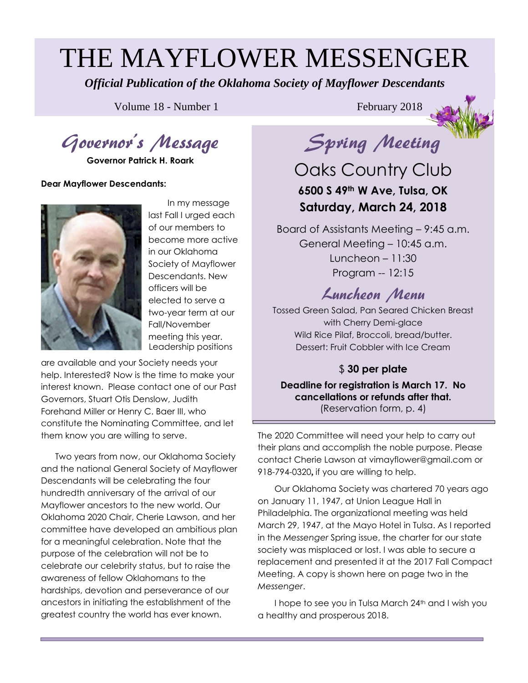# THE MAYFLOWER MESSENGER

*Official Publication of the Oklahoma Society of Mayflower Descendants*

Volume 18 - Number 1 February 2018

Governor's Message

**Governor Patrick H. Roark** 

#### **Dear Mayflower Descendants:**



Leadership positions In my message last Fall I urged each of our members to become more active in our Oklahoma Society of Mayflower Descendants. New officers will be elected to serve a two-year term at our Fall/November meeting this year.

are available and your Society needs your help. Interested? Now is the time to make your interest known. Please contact one of our Past Governors, Stuart Otis Denslow, Judith Forehand Miller or Henry C. Baer III, who constitute the Nominating Committee, and let them know you are willing to serve.

 Two years from now, our Oklahoma Society and the national General Society of Mayflower Descendants will be celebrating the four hundredth anniversary of the arrival of our Mayflower ancestors to the new world. Our Oklahoma 2020 Chair, Cherie Lawson, and her committee have developed an ambitious plan for a meaningful celebration. Note that the purpose of the celebration will not be to celebrate our celebrity status, but to raise the awareness of fellow Oklahomans to the hardships, devotion and perseverance of our ancestors in initiating the establishment of the greatest country the world has ever known.

Spring Meeting

Oaks Country Club **6500 S 49th W Ave, Tulsa, OK Saturday, March 24, 2018**

Board of Assistants Meeting – 9:45 a.m. General Meeting – 10:45 a.m.  $L$ uncheon – 11:30 Program -- 12:15

# Luncheon Menu

Tossed Green Salad, Pan Seared Chicken Breast with Cherry Demi-glace Wild Rice Pilaf, Broccoli, bread/butter. Dessert: Fruit Cobbler with Ice Cream

#### \$ **30 per plate**

**Deadline for registration is March 17. No cancellations or refunds after that.** (Reservation form, p. 4)

The 2020 Committee will need your help to carry out their plans and accomplish the noble purpose. Please contact Cherie Lawson at [vimayflower@gmail.com](mailto:vimayflower@gmail.com) or 918-794-0320**,** if you are willing to help.

 Our Oklahoma Society was chartered 70 years ago on January 11, 1947, at Union League Hall in Philadelphia. The organizational meeting was held March 29, 1947, at the Mayo Hotel in Tulsa. As I reported in the *Messenger* Spring issue, the charter for our state society was misplaced or lost. I was able to secure a replacement and presented it at the 2017 Fall Compact Meeting. A copy is shown here on page two in the *Messenger*.

I hope to see you in Tulsa March 24<sup>th</sup> and I wish you a healthy and prosperous 2018.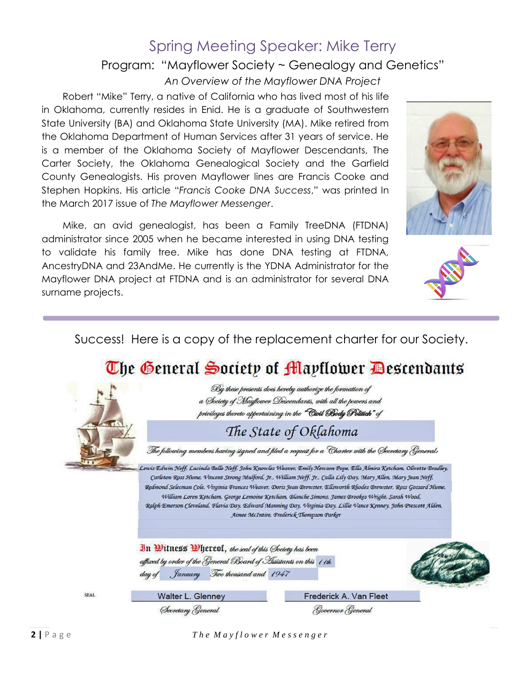### Spring Meeting Speaker: Mike Terry

#### Program: "Mayflower Society ~ Genealogy and Genetics"

*An Overview of the Mayflower DNA Project*

 Robert "Mike" Terry, a native of California who has lived most of his life in Oklahoma, currently resides in Enid. He is a graduate of Southwestern State University (BA) and Oklahoma State University (MA). Mike retired from the Oklahoma Department of Human Services after 31 years of service. He is a member of the Oklahoma Society of Mayflower Descendants, The Carter Society, the Oklahoma Genealogical Society and the Garfield County Genealogists. His proven Mayflower lines are Francis Cooke and Stephen Hopkins. His article "*Francis Cooke DNA Success*," was printed In the March 2017 issue of *The Mayflower Messenger*.

 Mike, an avid genealogist, has been a Family TreeDNA (FTDNA) administrator since 2005 when he became interested in using DNA testing to validate his family tree. Mike has done DNA testing at FTDNA, AncestryDNA and 23AndMe. He currently is the YDNA Administrator for the Mayflower DNA project at FTDNA and is an administrator for several DNA surname projects.





Success! Here is a copy of the replacement charter for our Society.

## The General Society of Mayflower Descendants

By these presents does hereby authorize the formation of a Society of Mayflower Descendants, with all the powers and privileges thereto appertaining in the "Civil Body Politich" of

#### The State of Oklahoma

The following members having signed and filed a request for a Charter with the Secretary General:

.<br>Lewis Edwin Neff. Lucinda Belle Neff. John Knowles Weaver, Emily Hewson Pope, Ella Almira Ketcham, Olivette Bradley, Carleton Ross Hume, Vincent Strong Mulford, Jr., William Neff, Jr., Calla Lily Day, Mary Allen, Mary Jean Neff, Redmond Selecman Cole, Virginia Frances Weaver, Doris Jean Brewster, Ellsworth Rhodes Brewster, Ross Gossard Hume, William Loren Ketcham, George Lemoine Ketcham, Blanche Simons, James Brookes Wright, Sarah Wood, Ralph Emerson Cleveland, Flavia Day, Edward Manning Day, Virginia Day, Lillie Vance Kenney, John Prescott Alden, Aimee McIntire, Frederick Thompson Parker

In *Ditness Diereof, the seal of this Society has been* affixed by order of the General Board of Assistants on this 11th day of January Two thousand and 1947



SEAL

Walter L. Glenney Secretary General

Frederick A. Van Fleet Governor General

**2 |** P a g e*T h e M a y f l o w e r M e s s e n g e r*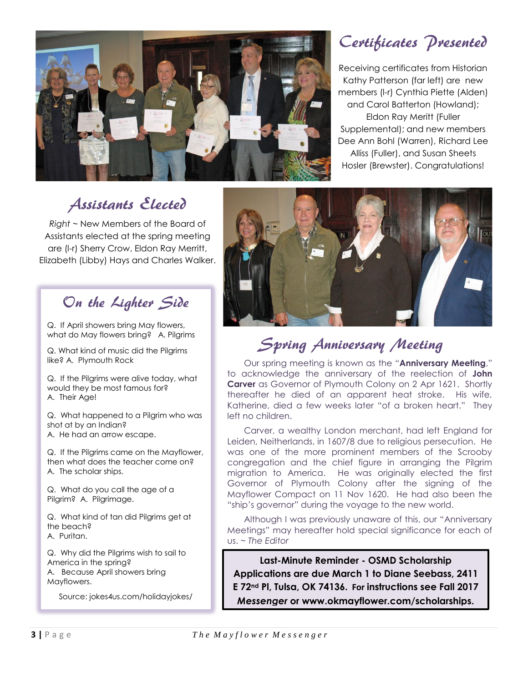

# Certificates Presented

Receiving certificates from Historian Kathy Patterson (far left) are new members (l-r) Cynthia Piette (Alden) and Carol Batterton (Howland); Eldon Ray Meritt (Fuller Supplemental); and new members Dee Ann Bohl (Warren), Richard Lee Alliss (Fuller), and Susan Sheets Hosler (Brewster). Congratulations!

## Assistants Elected

*Right* ~ New Members of the Board of Assistants elected at the spring meeting are (l-r) Sherry Crow, Eldon Ray Merritt, Elizabeth (Libby) Hays and Charles Walker.

## On the Lighter Side

Q. If April showers bring May flowers, what do May flowers bring? A. Pilgrims

Q. What kind of music did the Pilgrims like? A. Plymouth Rock

Q. If the Pilgrims were alive today, what would they be most famous for? A. Their Age!

Q. What happened to a Pilgrim who was shot at by an Indian? A. He had an arrow escape.

Q. If the Pilgrims came on the Mayflower, then what does the teacher come on? A. The scholar ships.

Q. What do you call the age of a Pilgrim? A. Pilgrimage.

Q. What kind of tan did Pilgrims get at the beach? A. Puritan.

Q. Why did the Pilgrims wish to sail to America in the spring? A. Because April showers bring Mayflowers.

Source: jokes4us.com/holidayjokes/



## Spring Anniversary Meeting

 Our spring meeting is known as the "**Anniversary Meeting**," to acknowledge the anniversary of the reelection of **John Carver** as Governor of Plymouth Colony on 2 Apr 1621. Shortly thereafter he died of an apparent heat stroke. His wife, Katherine, died a few weeks later "of a broken heart." They left no children.

 Carver, a wealthy London merchant, had left England for Leiden, Neitherlands, in 1607/8 due to religious persecution. He was one of the more prominent members of the Scrooby congregation and the chief figure in arranging the Pilgrim migration to America. He was originally elected the first Governor of Plymouth Colony after the signing of the Mayflower Compact on 11 Nov 1620. He had also been the "ship's governor" during the voyage to the new world.

 Although I was previously unaware of this, our "Anniversary Meetings" may hereafter hold special significance for each of us. ~ *The Editor*

**Last-Minute Reminder - OSMD Scholarship Applications are due March 1 to Diane Seebass, 2411 E 72nd Pl, Tulsa, OK 74136. For instructions see Fall 2017**  *Messenger* **or www.okmayflower.com/scholarships.**